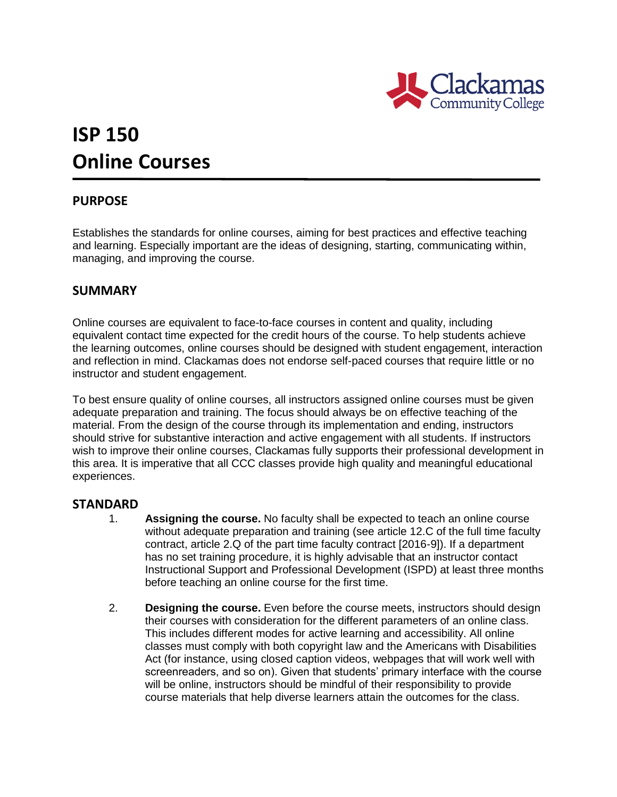

# **ISP 150 Online Courses**

## **PURPOSE**

Establishes the standards for online courses, aiming for best practices and effective teaching and learning. Especially important are the ideas of designing, starting, communicating within, managing, and improving the course.

### **SUMMARY**

Online courses are equivalent to face-to-face courses in content and quality, including equivalent contact time expected for the credit hours of the course. To help students achieve the learning outcomes, online courses should be designed with student engagement, interaction and reflection in mind. Clackamas does not endorse self-paced courses that require little or no instructor and student engagement.

To best ensure quality of online courses, all instructors assigned online courses must be given adequate preparation and training. The focus should always be on effective teaching of the material. From the design of the course through its implementation and ending, instructors should strive for substantive interaction and active engagement with all students. If instructors wish to improve their online courses, Clackamas fully supports their professional development in this area. It is imperative that all CCC classes provide high quality and meaningful educational experiences.

#### **STANDARD**

- 1. **Assigning the course.** No faculty shall be expected to teach an online course without adequate preparation and training (see article 12.C of the full time faculty contract, article 2.Q of the part time faculty contract [2016-9]). If a department has no set training procedure, it is highly advisable that an instructor contact Instructional Support and Professional Development (ISPD) at least three months before teaching an online course for the first time.
- 2. **Designing the course.** Even before the course meets, instructors should design their courses with consideration for the different parameters of an online class. This includes different modes for active learning and accessibility. All online classes must comply with both copyright law and the Americans with Disabilities Act (for instance, using closed caption videos, webpages that will work well with screenreaders, and so on). Given that students' primary interface with the course will be online, instructors should be mindful of their responsibility to provide course materials that help diverse learners attain the outcomes for the class.